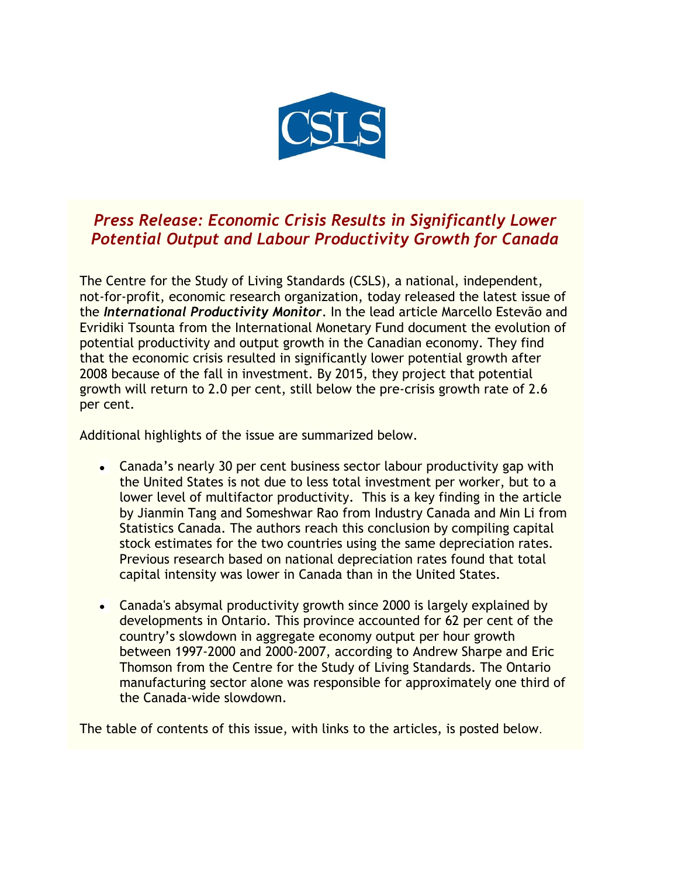

## *Press Release: Economic Crisis Results in Significantly Lower Potential Output and Labour Productivity Growth for Canada*

The Centre for the Study of Living Standards (CSLS), a national, independent, not-for-profit, economic research organization, today released the latest issue of the *International Productivity Monitor*. In the lead article Marcello Estevão and Evridiki Tsounta from the International Monetary Fund document the evolution of potential productivity and output growth in the Canadian economy. They find that the economic crisis resulted in significantly lower potential growth after 2008 because of the fall in investment. By 2015, they project that potential growth will return to 2.0 per cent, still below the pre-crisis growth rate of 2.6 per cent.

Additional highlights of the issue are summarized below.

- Canada's nearly 30 per cent business sector labour productivity gap with the United States is not due to less total investment per worker, but to a lower level of multifactor productivity. This is a key finding in the article by Jianmin Tang and Someshwar Rao from Industry Canada and Min Li from Statistics Canada. The authors reach this conclusion by compiling capital stock estimates for the two countries using the same depreciation rates. Previous research based on national depreciation rates found that total capital intensity was lower in Canada than in the United States.
- Canada's absymal productivity growth since 2000 is largely explained by developments in Ontario. This province accounted for 62 per cent of the country's slowdown in aggregate economy output per hour growth between 1997-2000 and 2000-2007, according to Andrew Sharpe and Eric Thomson from the Centre for the Study of Living Standards. The Ontario manufacturing sector alone was responsible for approximately one third of the Canada-wide slowdown.

The table of contents of this issue, with links to the articles, is posted below.